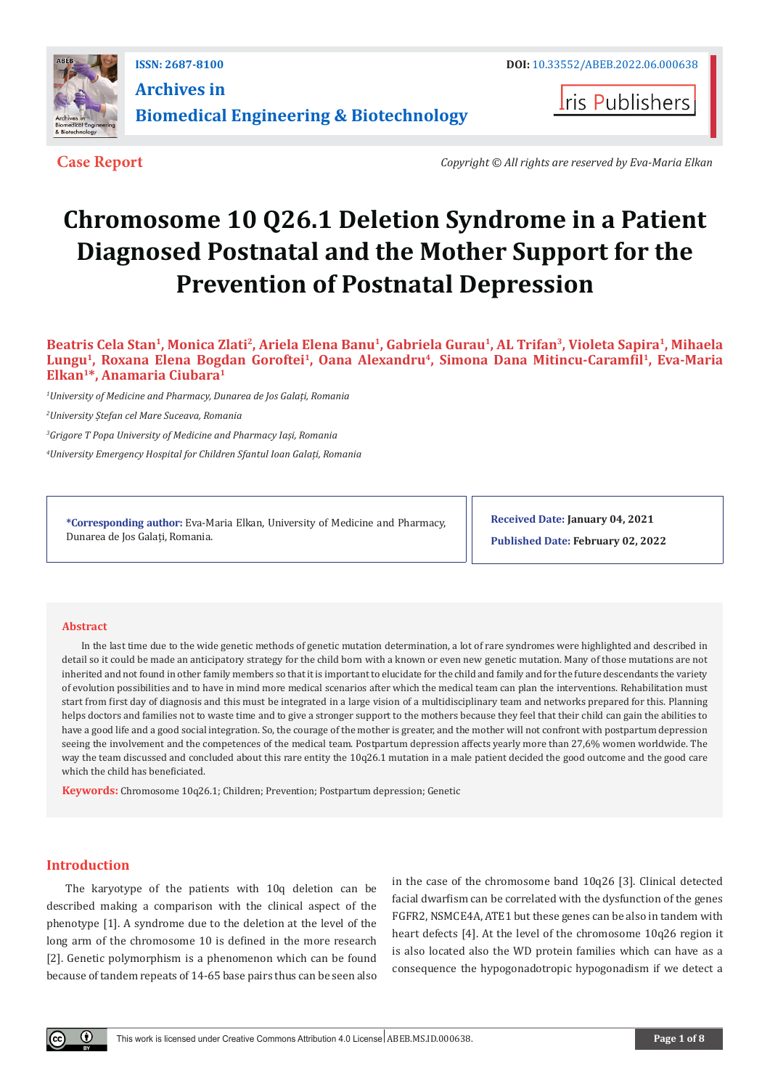

**ISSN: 2687-8100 DOI:** [10.33552/ABEB.2022.06.000638](http://dx.doi.org/10.33552/ABEB.2022.06.000638) **Archives in Biomedical Engineering & Biotechnology**

**I**ris Publishers

**Case Report** *Copyright © All rights are reserved by Eva-Maria Elkan*

# **Chromosome 10 Q26.1 Deletion Syndrome in a Patient Diagnosed Postnatal and the Mother Support for the Prevention of Postnatal Depression**

**Beatris Cela Stan1, Monica Zlati2, Ariela Elena Banu1, Gabriela Gurau1, AL Trifan3, Violeta Sapira1, Mihaela Lungu1, Roxana Elena Bogdan Goroftei1, Oana Alexandru4, Simona Dana Mitincu-Caramfil1, Eva-Maria Elkan1\*, Anamaria Ciubara1**

*1 University of Medicine and Pharmacy, Dunarea de Jos Galați, Romania*

*2 University Ștefan cel Mare Suceava, Romania*

*3 Grigore T Popa University of Medicine and Pharmacy Iași, Romania*

*4 University Emergency Hospital for Children Sfantul Ioan Galați, Romania*

**\*Corresponding author:** Eva-Maria Elkan, University of Medicine and Pharmacy, Dunarea de Jos Galați, Romania.

**Received Date: January 04, 2021**

**Published Date: February 02, 2022**

#### **Abstract**

In the last time due to the wide genetic methods of genetic mutation determination, a lot of rare syndromes were highlighted and described in detail so it could be made an anticipatory strategy for the child born with a known or even new genetic mutation. Many of those mutations are not inherited and not found in other family members so that it is important to elucidate for the child and family and for the future descendants the variety of evolution possibilities and to have in mind more medical scenarios after which the medical team can plan the interventions. Rehabilitation must start from first day of diagnosis and this must be integrated in a large vision of a multidisciplinary team and networks prepared for this. Planning helps doctors and families not to waste time and to give a stronger support to the mothers because they feel that their child can gain the abilities to have a good life and a good social integration. So, the courage of the mother is greater, and the mother will not confront with postpartum depression seeing the involvement and the competences of the medical team. Postpartum depression affects yearly more than 27,6% women worldwide. The way the team discussed and concluded about this rare entity the 10q26.1 mutation in a male patient decided the good outcome and the good care which the child has beneficiated.

**Keywords:** Chromosome 10q26.1; Children; Prevention; Postpartum depression; Genetic

# **Introduction**

The karyotype of the patients with 10q deletion can be described making a comparison with the clinical aspect of the phenotype [1]. A syndrome due to the deletion at the level of the long arm of the chromosome 10 is defined in the more research [2]. Genetic polymorphism is a phenomenon which can be found because of tandem repeats of 14-65 base pairs thus can be seen also

in the case of the chromosome band 10q26 [3]. Clinical detected facial dwarfism can be correlated with the dysfunction of the genes FGFR2, NSMCE4A, ATE1 but these genes can be also in tandem with heart defects [4]. At the level of the chromosome 10q26 region it is also located also the WD protein families which can have as a consequence the hypogonadotropic hypogonadism if we detect a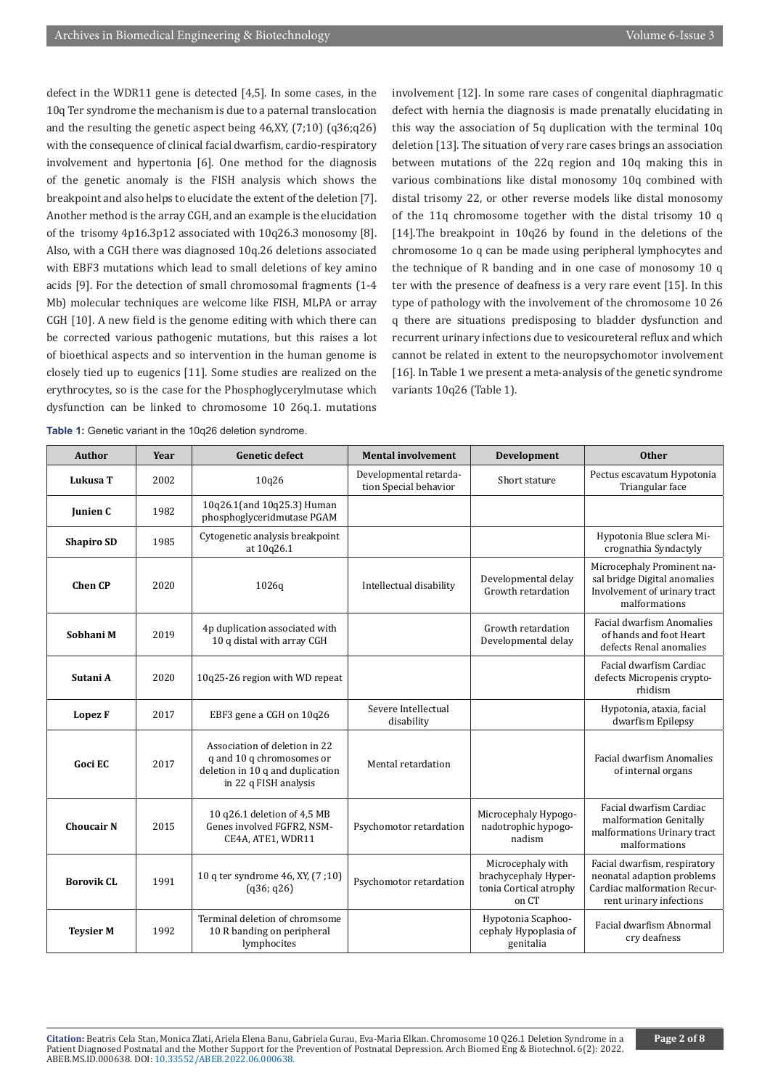defect in the WDR11 gene is detected [4,5]. In some cases, in the 10q Ter syndrome the mechanism is due to a paternal translocation and the resulting the genetic aspect being 46,XY, (7;10) (q36;q26) with the consequence of clinical facial dwarfism, cardio-respiratory involvement and hypertonia [6]. One method for the diagnosis of the genetic anomaly is the FISH analysis which shows the breakpoint and also helps to elucidate the extent of the deletion [7]. Another method is the array CGH, and an example is the elucidation of the trisomy 4p16.3p12 associated with 10q26.3 monosomy [8]. Also, with a CGH there was diagnosed 10q.26 deletions associated with EBF3 mutations which lead to small deletions of key amino acids [9]. For the detection of small chromosomal fragments (1-4 Mb) molecular techniques are welcome like FISH, MLPA or array CGH [10]. A new field is the genome editing with which there can be corrected various pathogenic mutations, but this raises a lot of bioethical aspects and so intervention in the human genome is closely tied up to eugenics [11]. Some studies are realized on the erythrocytes, so is the case for the Phosphoglycerylmutase which dysfunction can be linked to chromosome 10 26q.1. mutations involvement [12]. In some rare cases of congenital diaphragmatic defect with hernia the diagnosis is made prenatally elucidating in this way the association of 5q duplication with the terminal 10q deletion [13]. The situation of very rare cases brings an association between mutations of the 22q region and 10q making this in various combinations like distal monosomy 10q combined with distal trisomy 22, or other reverse models like distal monosomy of the 11q chromosome together with the distal trisomy 10 q [14].The breakpoint in 10q26 by found in the deletions of the chromosome 1o q can be made using peripheral lymphocytes and the technique of R banding and in one case of monosomy 10 q ter with the presence of deafness is a very rare event [15]. In this type of pathology with the involvement of the chromosome 10 26 q there are situations predisposing to bladder dysfunction and recurrent urinary infections due to vesicoureteral reflux and which cannot be related in extent to the neuropsychomotor involvement [16]. In Table 1 we present a meta-analysis of the genetic syndrome variants 10q26 (Table 1).

| <b>Author</b>     | Year | <b>Genetic defect</b>                                                                                                   | <b>Mental involvement</b>                       | Development                                                                  | <b>Other</b>                                                                                                         |
|-------------------|------|-------------------------------------------------------------------------------------------------------------------------|-------------------------------------------------|------------------------------------------------------------------------------|----------------------------------------------------------------------------------------------------------------------|
| Lukusa T          | 2002 | 10q26                                                                                                                   | Developmental retarda-<br>tion Special behavior | Short stature                                                                | Pectus escavatum Hypotonia<br>Triangular face                                                                        |
| <b>Junien C</b>   | 1982 | 10q26.1(and 10q25.3) Human<br>phosphoglyceridmutase PGAM                                                                |                                                 |                                                                              |                                                                                                                      |
| <b>Shapiro SD</b> | 1985 | Cytogenetic analysis breakpoint<br>at 10q26.1                                                                           |                                                 |                                                                              | Hypotonia Blue sclera Mi-<br>crognathia Syndactyly                                                                   |
| <b>Chen CP</b>    | 2020 | 1026q                                                                                                                   | Intellectual disability                         | Developmental delay<br>Growth retardation                                    | Microcephaly Prominent na-<br>sal bridge Digital anomalies<br>Involvement of urinary tract<br>malformations          |
| Sobhani M         | 2019 | 4p duplication associated with<br>10 q distal with array CGH                                                            |                                                 | Growth retardation<br>Developmental delay                                    | Facial dwarfism Anomalies<br>of hands and foot Heart<br>defects Renal anomalies                                      |
| Sutani A          | 2020 | 10q25-26 region with WD repeat                                                                                          |                                                 |                                                                              | Facial dwarfism Cardiac<br>defects Micropenis crypto-<br>rhidism                                                     |
| Lopez F           | 2017 | EBF3 gene a CGH on 10q26                                                                                                | Severe Intellectual<br>disability               |                                                                              | Hypotonia, ataxia, facial<br>dwarfism Epilepsy                                                                       |
| Goci EC           | 2017 | Association of deletion in 22<br>q and 10 q chromosomes or<br>deletion in 10 q and duplication<br>in 22 q FISH analysis | Mental retardation                              |                                                                              | <b>Facial dwarfism Anomalies</b><br>of internal organs                                                               |
| <b>Choucair N</b> | 2015 | 10 q26.1 deletion of 4,5 MB<br>Genes involved FGFR2, NSM-<br>CE4A, ATE1, WDR11                                          | Psychomotor retardation                         | Microcephaly Hypogo-<br>nadotrophic hypogo-<br>nadism                        | Facial dwarfism Cardiac<br>malformation Genitally<br>malformations Urinary tract<br>malformations                    |
| <b>Borovik CL</b> | 1991 | 10 q ter syndrome 46, XY, (7;10)<br>(q36; q26)                                                                          | Psychomotor retardation                         | Microcephaly with<br>brachycephaly Hyper-<br>tonia Cortical atrophy<br>on CT | Facial dwarfism, respiratory<br>neonatal adaption problems<br>Cardiac malformation Recur-<br>rent urinary infections |
| <b>Teysier M</b>  | 1992 | Terminal deletion of chromsome<br>10 R banding on peripheral<br>lymphocites                                             |                                                 | Hypotonia Scaphoo-<br>cephaly Hypoplasia of<br>genitalia                     | Facial dwarfism Abnormal<br>cry deafness                                                                             |

**Table 1:** Genetic variant in the 10q26 deletion syndrome.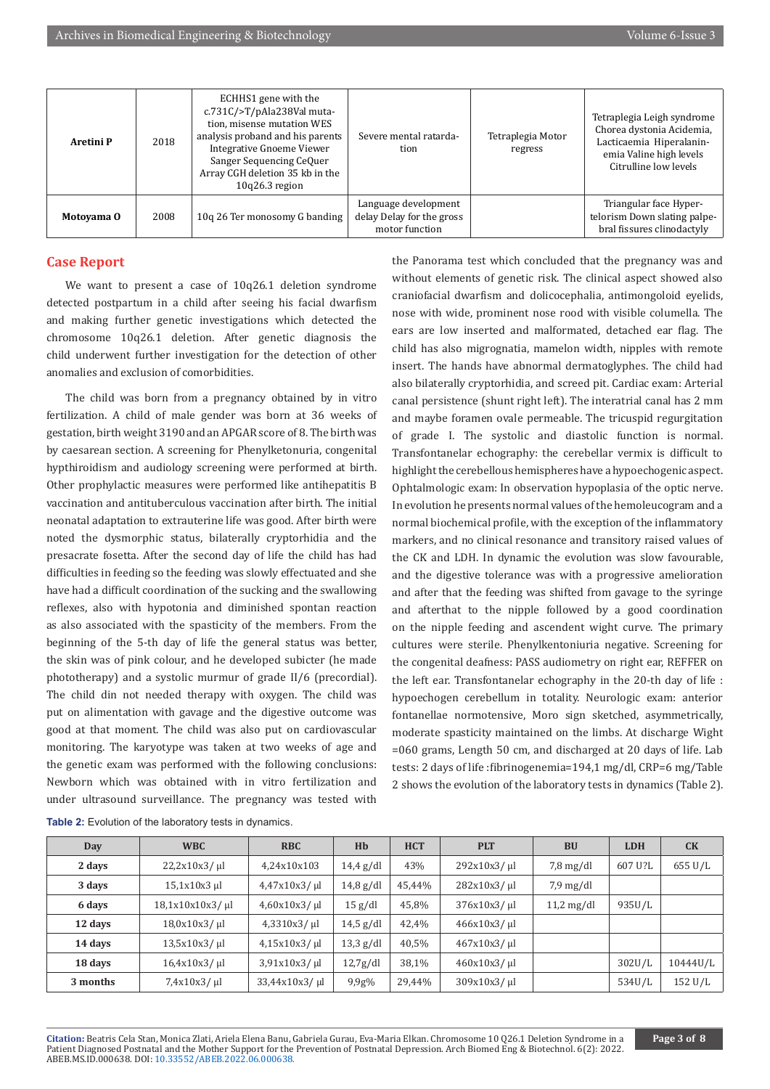| Aretini P  | 2018 | ECHHS1 gene with the<br>c.731C/>T/pAla238Val muta-<br>tion, misense mutation WES<br>analysis proband and his parents<br><b>Integrative Gnoeme Viewer</b><br>Sanger Sequencing CeQuer<br>Array CGH deletion 35 kb in the<br>$10q26.3$ region | Severe mental ratarda-<br>tion                                      | Tetraplegia Motor<br>regress | Tetraplegia Leigh syndrome<br>Chorea dystonia Acidemia,<br>Lacticaemia Hiperalanin-<br>emia Valine high levels<br>Citrulline low levels |
|------------|------|---------------------------------------------------------------------------------------------------------------------------------------------------------------------------------------------------------------------------------------------|---------------------------------------------------------------------|------------------------------|-----------------------------------------------------------------------------------------------------------------------------------------|
| Motoyama 0 | 2008 | 10g 26 Ter monosomy G banding                                                                                                                                                                                                               | Language development<br>delay Delay for the gross<br>motor function |                              | Triangular face Hyper-<br>telorism Down slating palpe-<br>bral fissures clinodactyly                                                    |

# **Case Report**

We want to present a case of 10q26.1 deletion syndrome detected postpartum in a child after seeing his facial dwarfism and making further genetic investigations which detected the chromosome 10q26.1 deletion. After genetic diagnosis the child underwent further investigation for the detection of other anomalies and exclusion of comorbidities.

The child was born from a pregnancy obtained by in vitro fertilization. A child of male gender was born at 36 weeks of gestation, birth weight 3190 and an APGAR score of 8. The birth was by caesarean section. A screening for Phenylketonuria, congenital hypthiroidism and audiology screening were performed at birth. Other prophylactic measures were performed like antihepatitis B vaccination and antituberculous vaccination after birth. The initial neonatal adaptation to extrauterine life was good. After birth were noted the dysmorphic status, bilaterally cryptorhidia and the presacrate fosetta. After the second day of life the child has had difficulties in feeding so the feeding was slowly effectuated and she have had a difficult coordination of the sucking and the swallowing reflexes, also with hypotonia and diminished spontan reaction as also associated with the spasticity of the members. From the beginning of the 5-th day of life the general status was better, the skin was of pink colour, and he developed subicter (he made phototherapy) and a systolic murmur of grade II/6 (precordial). The child din not needed therapy with oxygen. The child was put on alimentation with gavage and the digestive outcome was good at that moment. The child was also put on cardiovascular monitoring. The karyotype was taken at two weeks of age and the genetic exam was performed with the following conclusions: Newborn which was obtained with in vitro fertilization and under ultrasound surveillance. The pregnancy was tested with

the Panorama test which concluded that the pregnancy was and without elements of genetic risk. The clinical aspect showed also craniofacial dwarfism and dolicocephalia, antimongoloid eyelids, nose with wide, prominent nose rood with visible columella. The ears are low inserted and malformated, detached ear flag. The child has also migrognatia, mamelon width, nipples with remote insert. The hands have abnormal dermatoglyphes. The child had also bilaterally cryptorhidia, and screed pit. Cardiac exam: Arterial canal persistence (shunt right left). The interatrial canal has 2 mm and maybe foramen ovale permeable. The tricuspid regurgitation of grade I. The systolic and diastolic function is normal. Transfontanelar echography: the cerebellar vermix is difficult to highlight the cerebellous hemispheres have a hypoechogenic aspect. Ophtalmologic exam: In observation hypoplasia of the optic nerve. In evolution he presents normal values of the hemoleucogram and a normal biochemical profile, with the exception of the inflammatory markers, and no clinical resonance and transitory raised values of the CK and LDH. In dynamic the evolution was slow favourable, and the digestive tolerance was with a progressive amelioration and after that the feeding was shifted from gavage to the syringe and afterthat to the nipple followed by a good coordination on the nipple feeding and ascendent wight curve. The primary cultures were sterile. Phenylkentoniuria negative. Screening for the congenital deafness: PASS audiometry on right ear, REFFER on the left ear. Transfontanelar echography in the 20-th day of life : hypoechogen cerebellum in totality. Neurologic exam: anterior fontanellae normotensive, Moro sign sketched, asymmetrically, moderate spasticity maintained on the limbs. At discharge Wight =060 grams, Length 50 cm, and discharged at 20 days of life. Lab tests: 2 days of life :fibrinogenemia=194,1 mg/dl, CRP=6 mg/Table 2 shows the evolution of the laboratory tests in dynamics (Table 2).

| Day      | WBC                | <b>RBC</b>         | Hb                  | <b>HCT</b> | <b>PLT</b>      | <b>BU</b>              | <b>LDH</b> | CK       |
|----------|--------------------|--------------------|---------------------|------------|-----------------|------------------------|------------|----------|
| 2 days   | $22,2x10x3/ \mu$   | 4.24x10x103        | $14.4$ g/dl         | 43%        | 292x10x3/u      | $7,8 \,\mathrm{mg/dl}$ | 607 U?L    | 655 U/L  |
| 3 days   | 15,1x10x3 µl       | $4,47x10x3/$ µl    | $14,8 \text{ g/dl}$ | 45,44%     | 282x10x3/u      | $7.9 \text{ mg/dl}$    |            |          |
| 6 days   | $18,1x10x10x3/$ ul | $4,60x10x3/ \mu$ l | 15 g/dl             | 45,8%      | $376x10x3/$ µl  | $11,2 \text{ mg/dl}$   | 935U/L     |          |
| 12 days  | $18,0x10x3/$ µl    | $4,3310x3/ \mu l$  | $14.5$ g/dl         | 42,4%      | 466x10x3/u      |                        |            |          |
| 14 days  | $13,5x10x3/$ µl    | $4,15x10x3/$ ul    | $13,3$ g/dl         | 40,5%      | $467x10x3/$ ul  |                        |            |          |
| 18 days  | $16,4x10x3/$ µl    | $3.91x10x3/$ µl    | 12,7g/dl            | 38,1%      | $460x10x3/$ µl  |                        | 302U/L     | 10444U/L |
| 3 months | $7,4x10x3/ \mu$ l  | $33,44x10x3/ \mu$  | 9,9g%               | 29,44%     | $309x10x3/ \mu$ |                        | 534U/L     | 152 U/L  |

**Table 2:** Evolution of the laboratory tests in dynamics.

**Citation:** Beatris Cela Stan, Monica Zlati, Ariela Elena Banu, Gabriela Gurau, Eva-Maria Elkan. Chromosome 10 Q26.1 Deletion Syndrome in a Patient Diagnosed Postnatal and the Mother Support for the Prevention of Postnatal Depression. Arch Biomed Eng & Biotechnol. 6(2): 2022. ABEB.MS.ID.000638. DOI: [10.33552/ABEB.2022.06.000638.](http://dx.doi.org/10.33552/ABEB.2022.06.000638)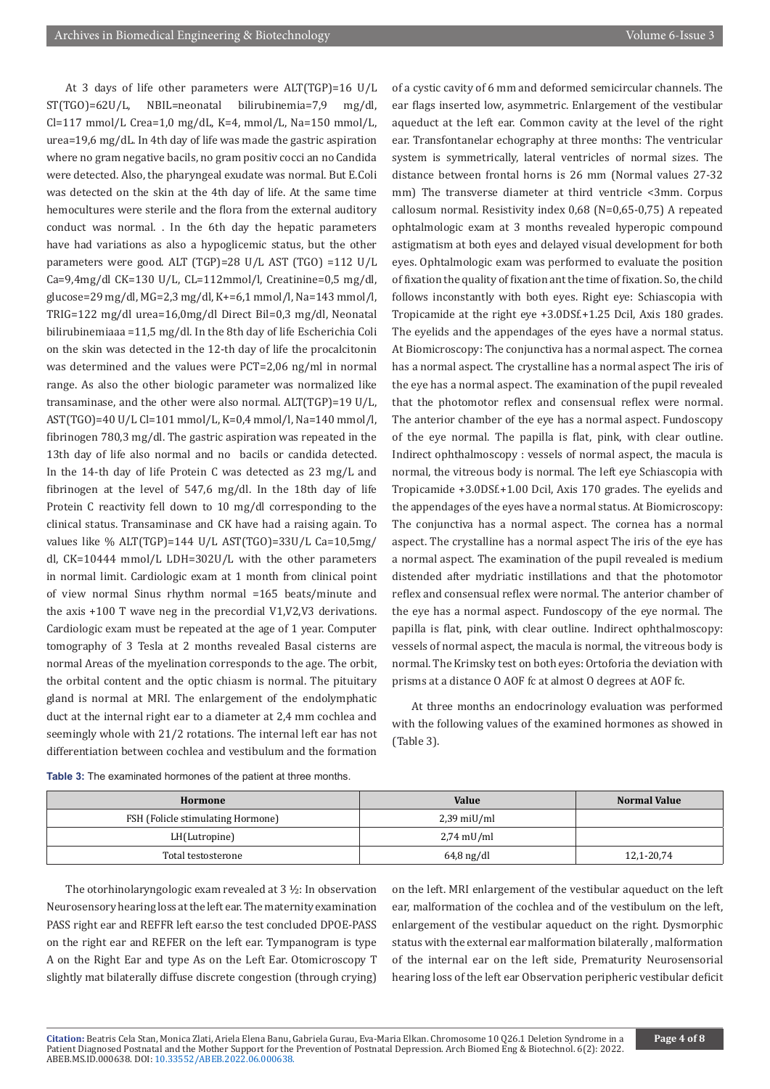At 3 days of life other parameters were ALT(TGP)=16 U/L ST(TGO)=62U/L, NBIL=neonatal bilirubinemia=7,9 mg/dl,  $Cl=117$  mmol/L Crea=1,0 mg/dL, K=4, mmol/L, Na=150 mmol/L, urea=19,6 mg/dL. In 4th day of life was made the gastric aspiration where no gram negative bacils, no gram positiv cocci an no Candida were detected. Also, the pharyngeal exudate was normal. But E.Coli was detected on the skin at the 4th day of life. At the same time hemocultures were sterile and the flora from the external auditory conduct was normal. . In the 6th day the hepatic parameters have had variations as also a hypoglicemic status, but the other parameters were good. ALT (TGP)=28 U/L AST (TGO) =112 U/L Ca=9,4mg/dl CK=130 U/L, CL=112mmol/l, Creatinine=0,5 mg/dl, glucose=29 mg/dl, MG=2,3 mg/dl, K+=6,1 mmol/l, Na=143 mmol/l, TRIG=122 mg/dl urea=16,0mg/dl Direct Bil=0,3 mg/dl, Neonatal bilirubinemiaaa =11,5 mg/dl. In the 8th day of life Escherichia Coli on the skin was detected in the 12-th day of life the procalcitonin was determined and the values were PCT=2,06 ng/ml in normal range. As also the other biologic parameter was normalized like transaminase, and the other were also normal. ALT(TGP)=19 U/L, AST(TGO)=40 U/L Cl=101 mmol/L, K=0,4 mmol/l, Na=140 mmol/l, fibrinogen 780,3 mg/dl. The gastric aspiration was repeated in the 13th day of life also normal and no bacils or candida detected. In the 14-th day of life Protein C was detected as 23 mg/L and fibrinogen at the level of 547,6 mg/dl. In the 18th day of life Protein C reactivity fell down to 10 mg/dl corresponding to the clinical status. Transaminase and CK have had a raising again. To values like % ALT(TGP)=144 U/L AST(TGO)=33U/L Ca=10,5mg/ dl, CK=10444 mmol/L LDH=302U/L with the other parameters in normal limit. Cardiologic exam at 1 month from clinical point of view normal Sinus rhythm normal =165 beats/minute and the axis +100 T wave neg in the precordial V1,V2,V3 derivations. Cardiologic exam must be repeated at the age of 1 year. Computer tomography of 3 Tesla at 2 months revealed Basal cisterns are normal Areas of the myelination corresponds to the age. The orbit, the orbital content and the optic chiasm is normal. The pituitary gland is normal at MRI. The enlargement of the endolymphatic duct at the internal right ear to a diameter at 2,4 mm cochlea and seemingly whole with 21/2 rotations. The internal left ear has not differentiation between cochlea and vestibulum and the formation

of a cystic cavity of 6 mm and deformed semicircular channels. The ear flags inserted low, asymmetric. Enlargement of the vestibular aqueduct at the left ear. Common cavity at the level of the right ear. Transfontanelar echography at three months: The ventricular system is symmetrically, lateral ventricles of normal sizes. The distance between frontal horns is 26 mm (Normal values 27-32 mm) The transverse diameter at third ventricle <3mm. Corpus callosum normal. Resistivity index 0,68 (N=0,65-0,75) A repeated ophtalmologic exam at 3 months revealed hyperopic compound astigmatism at both eyes and delayed visual development for both eyes. Ophtalmologic exam was performed to evaluate the position of fixation the quality of fixation ant the time of fixation. So, the child follows inconstantly with both eyes. Right eye: Schiascopia with Tropicamide at the right eye +3.0DSf.+1.25 Dcil, Axis 180 grades. The eyelids and the appendages of the eyes have a normal status. At Biomicroscopy: The conjunctiva has a normal aspect. The cornea has a normal aspect. The crystalline has a normal aspect The iris of the eye has a normal aspect. The examination of the pupil revealed that the photomotor reflex and consensual reflex were normal. The anterior chamber of the eye has a normal aspect. Fundoscopy of the eye normal. The papilla is flat, pink, with clear outline. Indirect ophthalmoscopy : vessels of normal aspect, the macula is normal, the vitreous body is normal. The left eye Schiascopia with Tropicamide +3.0DSf.+1.00 Dcil, Axis 170 grades. The eyelids and the appendages of the eyes have a normal status. At Biomicroscopy: The conjunctiva has a normal aspect. The cornea has a normal aspect. The crystalline has a normal aspect The iris of the eye has a normal aspect. The examination of the pupil revealed is medium distended after mydriatic instillations and that the photomotor reflex and consensual reflex were normal. The anterior chamber of the eye has a normal aspect. Fundoscopy of the eye normal. The papilla is flat, pink, with clear outline. Indirect ophthalmoscopy: vessels of normal aspect, the macula is normal, the vitreous body is normal. The Krimsky test on both eyes: Ortoforia the deviation with prisms at a distance O AOF fc at almost O degrees at AOF fc.

At three months an endocrinology evaluation was performed with the following values of the examined hormones as showed in (Table 3).

| Table 3: The examinated hormones of the patient at three months. |
|------------------------------------------------------------------|
|                                                                  |

| Hormone                           | <b>Value</b>          | Normal Value |  |
|-----------------------------------|-----------------------|--------------|--|
| FSH (Folicle stimulating Hormone) | $2,39 \text{ miU/ml}$ |              |  |
| LH(Lutropine)                     | 2,74 mU/ml            |              |  |
| Total testosterone                | $64,8 \text{ ng/dl}$  | 12,1-20,74   |  |

The otorhinolaryngologic exam revealed at 3 ½: In observation Neurosensory hearing loss at the left ear. The maternity examination PASS right ear and REFFR left ear.so the test concluded DPOE-PASS on the right ear and REFER on the left ear. Tympanogram is type A on the Right Ear and type As on the Left Ear. Otomicroscopy T slightly mat bilaterally diffuse discrete congestion (through crying)

on the left. MRI enlargement of the vestibular aqueduct on the left ear, malformation of the cochlea and of the vestibulum on the left, enlargement of the vestibular aqueduct on the right. Dysmorphic status with the external ear malformation bilaterally , malformation of the internal ear on the left side, Prematurity Neurosensorial hearing loss of the left ear Observation peripheric vestibular deficit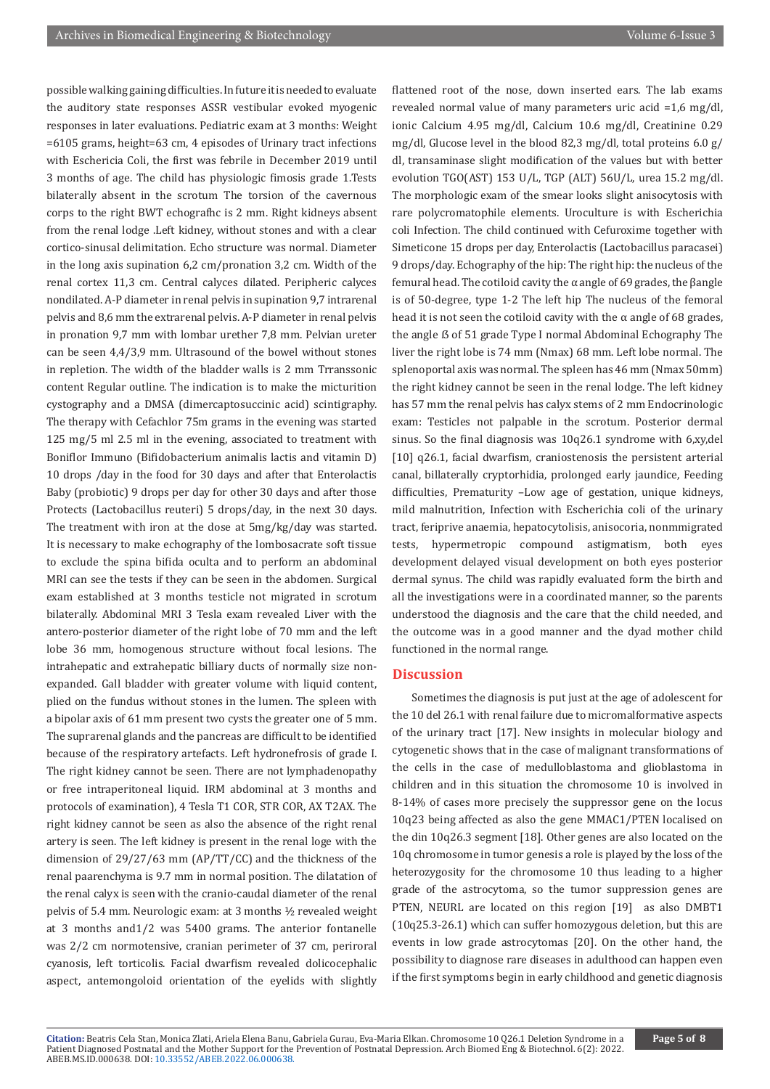possible walking gaining difficulties. In future it is needed to evaluate the auditory state responses ASSR vestibular evoked myogenic responses in later evaluations. Pediatric exam at 3 months: Weight =6105 grams, height=63 cm, 4 episodes of Urinary tract infections with Eschericia Coli, the first was febrile in December 2019 until 3 months of age. The child has physiologic fimosis grade 1.Tests bilaterally absent in the scrotum The torsion of the cavernous corps to the right BWT echografhc is 2 mm. Right kidneys absent from the renal lodge .Left kidney, without stones and with a clear cortico-sinusal delimitation. Echo structure was normal. Diameter in the long axis supination 6,2 cm/pronation 3,2 cm. Width of the renal cortex 11,3 cm. Central calyces dilated. Peripheric calyces nondilated. A-P diameter in renal pelvis in supination 9,7 intrarenal pelvis and 8,6 mm the extrarenal pelvis. A-P diameter in renal pelvis in pronation 9,7 mm with lombar urether 7,8 mm. Pelvian ureter can be seen 4,4/3,9 mm. Ultrasound of the bowel without stones in repletion. The width of the bladder walls is 2 mm Trranssonic content Regular outline. The indication is to make the micturition cystography and a DMSA (dimercaptosuccinic acid) scintigraphy. The therapy with Cefachlor 75m grams in the evening was started 125 mg/5 ml 2.5 ml in the evening, associated to treatment with Boniflor Immuno (Bifidobacterium animalis lactis and vitamin D) 10 drops /day in the food for 30 days and after that Enterolactis Baby (probiotic) 9 drops per day for other 30 days and after those Protects (Lactobacillus reuteri) 5 drops/day, in the next 30 days. The treatment with iron at the dose at 5mg/kg/day was started. It is necessary to make echography of the lombosacrate soft tissue to exclude the spina bifida oculta and to perform an abdominal MRI can see the tests if they can be seen in the abdomen. Surgical exam established at 3 months testicle not migrated in scrotum bilaterally. Abdominal MRI 3 Tesla exam revealed Liver with the antero-posterior diameter of the right lobe of 70 mm and the left lobe 36 mm, homogenous structure without focal lesions. The intrahepatic and extrahepatic billiary ducts of normally size nonexpanded. Gall bladder with greater volume with liquid content, plied on the fundus without stones in the lumen. The spleen with a bipolar axis of 61 mm present two cysts the greater one of 5 mm. The suprarenal glands and the pancreas are difficult to be identified because of the respiratory artefacts. Left hydronefrosis of grade I. The right kidney cannot be seen. There are not lymphadenopathy or free intraperitoneal liquid. IRM abdominal at 3 months and protocols of examination), 4 Tesla T1 COR, STR COR, AX T2AX. The right kidney cannot be seen as also the absence of the right renal artery is seen. The left kidney is present in the renal loge with the dimension of 29/27/63 mm (AP/TT/CC) and the thickness of the renal paarenchyma is 9.7 mm in normal position. The dilatation of the renal calyx is seen with the cranio-caudal diameter of the renal pelvis of 5.4 mm. Neurologic exam: at 3 months ½ revealed weight at 3 months and1/2 was 5400 grams. The anterior fontanelle was 2/2 cm normotensive, cranian perimeter of 37 cm, periroral cyanosis, left torticolis. Facial dwarfism revealed dolicocephalic aspect, antemongoloid orientation of the eyelids with slightly

flattened root of the nose, down inserted ears. The lab exams revealed normal value of many parameters uric acid =1,6 mg/dl, ionic Calcium 4.95 mg/dl, Calcium 10.6 mg/dl, Creatinine 0.29 mg/dl, Glucose level in the blood 82,3 mg/dl, total proteins 6.0 g/ dl, transaminase slight modification of the values but with better evolution TGO(AST) 153 U/L, TGP (ALT) 56U/L, urea 15.2 mg/dl. The morphologic exam of the smear looks slight anisocytosis with rare polycromatophile elements. Uroculture is with Escherichia coli Infection. The child continued with Cefuroxime together with Simeticone 15 drops per day, Enterolactis (Lactobacillus paracasei) 9 drops/day. Echography of the hip: The right hip: the nucleus of the femural head. The cotiloid cavity the α angle of 69 grades, the βangle is of 50-degree, type 1-2 The left hip The nucleus of the femoral head it is not seen the cotiloid cavity with the  $\alpha$  angle of 68 grades, the angle **ß** of 51 grade Type I normal Abdominal Echography The liver the right lobe is 74 mm (Nmax) 68 mm. Left lobe normal. The splenoportal axis was normal. The spleen has 46 mm (Nmax 50mm) the right kidney cannot be seen in the renal lodge. The left kidney has 57 mm the renal pelvis has calyx stems of 2 mm Endocrinologic exam: Testicles not palpable in the scrotum. Posterior dermal sinus. So the final diagnosis was 10q26.1 syndrome with 6,xy,del [10] q26.1, facial dwarfism, craniostenosis the persistent arterial canal, billaterally cryptorhidia, prolonged early jaundice, Feeding difficulties, Prematurity –Low age of gestation, unique kidneys, mild malnutrition, Infection with Escherichia coli of the urinary tract, feriprive anaemia, hepatocytolisis, anisocoria, nonmmigrated tests, hypermetropic compound astigmatism, both eyes development delayed visual development on both eyes posterior dermal synus. The child was rapidly evaluated form the birth and all the investigations were in a coordinated manner, so the parents understood the diagnosis and the care that the child needed, and the outcome was in a good manner and the dyad mother child functioned in the normal range.

#### **Discussion**

Sometimes the diagnosis is put just at the age of adolescent for the 10 del 26.1 with renal failure due to micromalformative aspects of the urinary tract [17]. New insights in molecular biology and cytogenetic shows that in the case of malignant transformations of the cells in the case of medulloblastoma and glioblastoma in children and in this situation the chromosome 10 is involved in 8-14% of cases more precisely the suppressor gene on the locus 10q23 being affected as also the gene MMAC1/PTEN localised on the din 10q26.3 segment [18]. Other genes are also located on the 10q chromosome in tumor genesis a role is played by the loss of the heterozygosity for the chromosome 10 thus leading to a higher grade of the astrocytoma, so the tumor suppression genes are PTEN, NEURL are located on this region [19] as also DMBT1 (10q25.3-26.1) which can suffer homozygous deletion, but this are events in low grade astrocytomas [20]. On the other hand, the possibility to diagnose rare diseases in adulthood can happen even if the first symptoms begin in early childhood and genetic diagnosis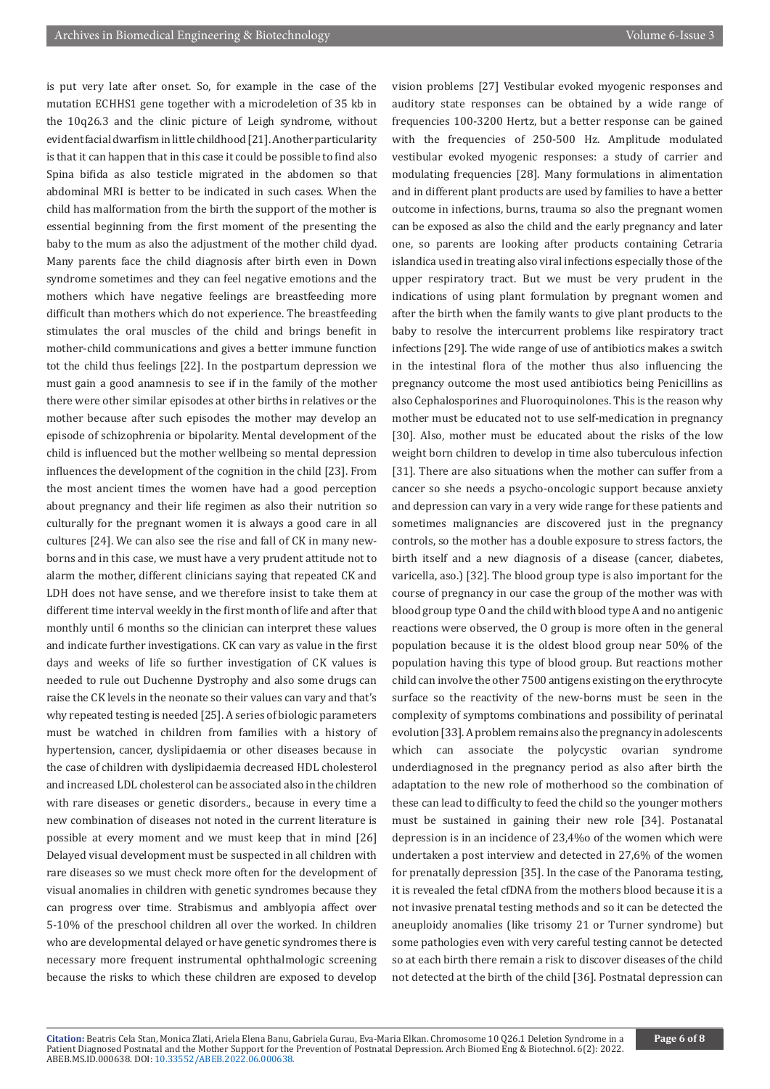is put very late after onset. So, for example in the case of the mutation ECHHS1 gene together with a microdeletion of 35 kb in the 10q26.3 and the clinic picture of Leigh syndrome, without evident facial dwarfism in little childhood [21]. Another particularity is that it can happen that in this case it could be possible to find also Spina bifida as also testicle migrated in the abdomen so that abdominal MRI is better to be indicated in such cases. When the child has malformation from the birth the support of the mother is essential beginning from the first moment of the presenting the baby to the mum as also the adjustment of the mother child dyad. Many parents face the child diagnosis after birth even in Down syndrome sometimes and they can feel negative emotions and the mothers which have negative feelings are breastfeeding more difficult than mothers which do not experience. The breastfeeding stimulates the oral muscles of the child and brings benefit in mother-child communications and gives a better immune function tot the child thus feelings [22]. In the postpartum depression we must gain a good anamnesis to see if in the family of the mother there were other similar episodes at other births in relatives or the mother because after such episodes the mother may develop an episode of schizophrenia or bipolarity. Mental development of the child is influenced but the mother wellbeing so mental depression influences the development of the cognition in the child [23]. From the most ancient times the women have had a good perception about pregnancy and their life regimen as also their nutrition so culturally for the pregnant women it is always a good care in all cultures [24]. We can also see the rise and fall of CK in many newborns and in this case, we must have a very prudent attitude not to alarm the mother, different clinicians saying that repeated CK and LDH does not have sense, and we therefore insist to take them at different time interval weekly in the first month of life and after that monthly until 6 months so the clinician can interpret these values and indicate further investigations. CK can vary as value in the first days and weeks of life so further investigation of CK values is needed to rule out Duchenne Dystrophy and also some drugs can raise the CK levels in the neonate so their values can vary and that's why repeated testing is needed [25]. A series of biologic parameters must be watched in children from families with a history of hypertension, cancer, dyslipidaemia or other diseases because in the case of children with dyslipidaemia decreased HDL cholesterol and increased LDL cholesterol can be associated also in the children with rare diseases or genetic disorders., because in every time a new combination of diseases not noted in the current literature is possible at every moment and we must keep that in mind [26] Delayed visual development must be suspected in all children with rare diseases so we must check more often for the development of visual anomalies in children with genetic syndromes because they can progress over time. Strabismus and amblyopia affect over 5-10% of the preschool children all over the worked. In children who are developmental delayed or have genetic syndromes there is necessary more frequent instrumental ophthalmologic screening because the risks to which these children are exposed to develop

vision problems [27] Vestibular evoked myogenic responses and auditory state responses can be obtained by a wide range of frequencies 100-3200 Hertz, but a better response can be gained with the frequencies of 250-500 Hz. Amplitude modulated vestibular evoked myogenic responses: a study of carrier and modulating frequencies [28]. Many formulations in alimentation and in different plant products are used by families to have a better outcome in infections, burns, trauma so also the pregnant women can be exposed as also the child and the early pregnancy and later one, so parents are looking after products containing Cetraria islandica used in treating also viral infections especially those of the upper respiratory tract. But we must be very prudent in the indications of using plant formulation by pregnant women and after the birth when the family wants to give plant products to the baby to resolve the intercurrent problems like respiratory tract infections [29]. The wide range of use of antibiotics makes a switch in the intestinal flora of the mother thus also influencing the pregnancy outcome the most used antibiotics being Penicillins as also Cephalosporines and Fluoroquinolones. This is the reason why mother must be educated not to use self-medication in pregnancy [30]. Also, mother must be educated about the risks of the low weight born children to develop in time also tuberculous infection [31]. There are also situations when the mother can suffer from a cancer so she needs a psycho-oncologic support because anxiety and depression can vary in a very wide range for these patients and sometimes malignancies are discovered just in the pregnancy controls, so the mother has a double exposure to stress factors, the birth itself and a new diagnosis of a disease (cancer, diabetes, varicella, aso.) [32]. The blood group type is also important for the course of pregnancy in our case the group of the mother was with blood group type O and the child with blood type A and no antigenic reactions were observed, the O group is more often in the general population because it is the oldest blood group near 50% of the population having this type of blood group. But reactions mother child can involve the other 7500 antigens existing on the erythrocyte surface so the reactivity of the new-borns must be seen in the complexity of symptoms combinations and possibility of perinatal evolution [33]. A problem remains also the pregnancy in adolescents which can associate the polycystic ovarian syndrome underdiagnosed in the pregnancy period as also after birth the adaptation to the new role of motherhood so the combination of these can lead to difficulty to feed the child so the younger mothers must be sustained in gaining their new role [34]. Postanatal depression is in an incidence of 23,4%o of the women which were undertaken a post interview and detected in 27,6% of the women for prenatally depression [35]. In the case of the Panorama testing, it is revealed the fetal cfDNA from the mothers blood because it is a not invasive prenatal testing methods and so it can be detected the aneuploidy anomalies (like trisomy 21 or Turner syndrome) but some pathologies even with very careful testing cannot be detected so at each birth there remain a risk to discover diseases of the child not detected at the birth of the child [36]. Postnatal depression can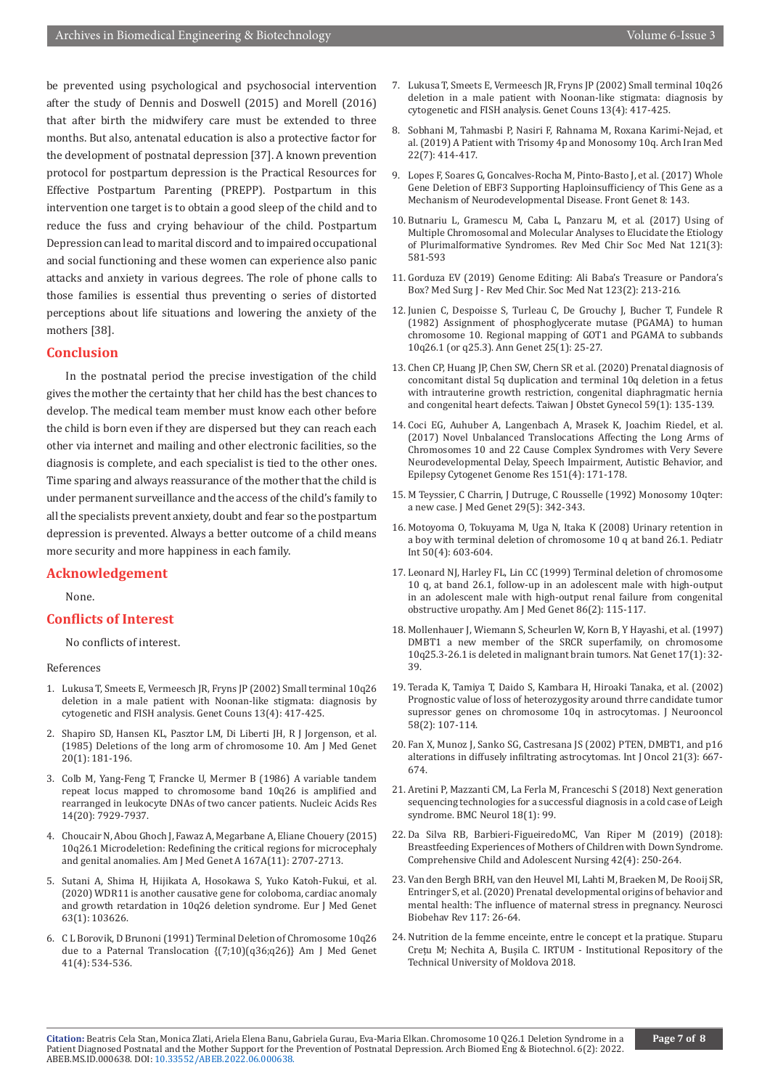be prevented using psychological and psychosocial intervention after the study of Dennis and Doswell (2015) and Morell (2016) that after birth the midwifery care must be extended to three months. But also, antenatal education is also a protective factor for the development of postnatal depression [37]. A known prevention protocol for postpartum depression is the Practical Resources for Effective Postpartum Parenting (PREPP). Postpartum in this intervention one target is to obtain a good sleep of the child and to reduce the fuss and crying behaviour of the child. Postpartum Depression can lead to marital discord and to impaired occupational and social functioning and these women can experience also panic attacks and anxiety in various degrees. The role of phone calls to those families is essential thus preventing o series of distorted perceptions about life situations and lowering the anxiety of the mothers [38].

#### **Conclusion**

In the postnatal period the precise investigation of the child gives the mother the certainty that her child has the best chances to develop. The medical team member must know each other before the child is born even if they are dispersed but they can reach each other via internet and mailing and other electronic facilities, so the diagnosis is complete, and each specialist is tied to the other ones. Time sparing and always reassurance of the mother that the child is under permanent surveillance and the access of the child's family to all the specialists prevent anxiety, doubt and fear so the postpartum depression is prevented. Always a better outcome of a child means more security and more happiness in each family.

### **Acknowledgement**

None.

## **Conflicts of Interest**

No conflicts of interest.

#### References

- 1. [Lukusa T, Smeets E, Vermeesch JR, Fryns JP \(2002\) Small terminal 10q26](https://pubmed.ncbi.nlm.nih.gov/12558112/)  [deletion in a male patient with Noonan-like stigmata: diagnosis by](https://pubmed.ncbi.nlm.nih.gov/12558112/)  [cytogenetic and FISH analysis. Genet Couns 13\(4\): 417-425.](https://pubmed.ncbi.nlm.nih.gov/12558112/)
- 2. [Shapiro SD, Hansen KL, Pasztor LM, Di Liberti JH, R J Jorgenson, et al.](https://pubmed.ncbi.nlm.nih.gov/3970071/)  [\(1985\) Deletions of the long arm of chromosome 10. Am J Med Genet](https://pubmed.ncbi.nlm.nih.gov/3970071/)  [20\(1\): 181-196.](https://pubmed.ncbi.nlm.nih.gov/3970071/)
- 3. Colb M, Yang-Feng T, Francke U, Mermer B (1986) A variable tandem repeat locus mapped to chromosome band 10q26 is amplified and rearranged in leukocyte DNAs of two cancer patients. Nucleic Acids Res 14(20): 7929-7937.
- 4. [Choucair N, Abou Ghoch J, Fawaz A, Megarbane A, Eliane Chouery \(2015\)](https://pubmed.ncbi.nlm.nih.gov/26114870/)  [10q26.1 Microdeletion: Redefining the critical regions for microcephaly](https://pubmed.ncbi.nlm.nih.gov/26114870/)  [and genital anomalies. Am J Med Genet A 167A\(11\): 2707-2713.](https://pubmed.ncbi.nlm.nih.gov/26114870/)
- 5. [Sutani A, Shima H, Hijikata A, Hosokawa S, Yuko Katoh-Fukui, et al.](https://pubmed.ncbi.nlm.nih.gov/30711679/)  [\(2020\) WDR11 is another causative gene for coloboma, cardiac anomaly](https://pubmed.ncbi.nlm.nih.gov/30711679/)  [and growth retardation in 10q26 deletion syndrome. Eur J Med Genet](https://pubmed.ncbi.nlm.nih.gov/30711679/)  [63\(1\): 103626.](https://pubmed.ncbi.nlm.nih.gov/30711679/)
- 6. C L Borovik, D Brunoni (1991) Terminal Deletion of Chromosome 10q26 due to a Paternal Translocation {(7;10)(q36;q26)} Am J Med Genet 41(4): 534-536.
- 7. [Lukusa T, Smeets E, Vermeesch JR, Fryns JP \(2002\) Small terminal 10q26](https://pubmed.ncbi.nlm.nih.gov/12558112/) [deletion in a male patient with Noonan-like stigmata: diagnosis by](https://pubmed.ncbi.nlm.nih.gov/12558112/) [cytogenetic and FISH analysis. Genet Couns 13\(4\): 417-425.](https://pubmed.ncbi.nlm.nih.gov/12558112/)
- 8. [Sobhani M, Tahmasbi P, Nasiri F, Rahnama M, Roxana Karimi-Nejad, et](https://pubmed.ncbi.nlm.nih.gov/31679386/) [al. \(2019\) A Patient with Trisomy 4p and Monosomy 10q. Arch Iran Med](https://pubmed.ncbi.nlm.nih.gov/31679386/) [22\(7\): 414-417.](https://pubmed.ncbi.nlm.nih.gov/31679386/)
- 9. [Lopes F, Soares G, Goncalves-Rocha M, Pinto-Basto J, et al. \(2017\) Whole](https://pubmed.ncbi.nlm.nih.gov/29062322/) [Gene Deletion of EBF3 Supporting Haploinsufficiency of This Gene as a](https://pubmed.ncbi.nlm.nih.gov/29062322/) [Mechanism of Neurodevelopmental Disease. Front Genet 8: 143.](https://pubmed.ncbi.nlm.nih.gov/29062322/)
- 10. Butnariu L, Gramescu M, Caba L, Panzaru M, et al. (2017) Using of Multiple Chromosomal and Molecular Analyses to Elucidate the Etiology of Plurimalformative Syndromes. Rev Med Chir Soc Med Nat 121(3): 581-593
- 11. Gorduza EV (2019) Genome Editing: Ali Baba's Treasure or Pandora's Box? Med Surg J - Rev Med Chir. Soc Med Nat 123(2): 213-216.
- 12. [Junien C, Despoisse S, Turleau C, De Grouchy J, Bucher T, Fundele R](https://pubmed.ncbi.nlm.nih.gov/6282177/) [\(1982\) Assignment of phosphoglycerate mutase \(PGAMA\) to human](https://pubmed.ncbi.nlm.nih.gov/6282177/) [chromosome 10. Regional mapping of GOT1 and PGAMA to subbands](https://pubmed.ncbi.nlm.nih.gov/6282177/) [10q26.1 \(or q25.3\). Ann Genet 25\(1\): 25-27.](https://pubmed.ncbi.nlm.nih.gov/6282177/)
- 13. [Chen CP, Huang JP, Chen SW, Chern SR et al. \(2020\) Prenatal diagnosis of](https://pubmed.ncbi.nlm.nih.gov/32039782/) [concomitant distal 5q duplication and terminal 10q deletion in a fetus](https://pubmed.ncbi.nlm.nih.gov/32039782/) [with intrauterine growth restriction, congenital diaphragmatic hernia](https://pubmed.ncbi.nlm.nih.gov/32039782/) [and congenital heart defects. Taiwan J Obstet Gynecol 59\(1\): 135-139.](https://pubmed.ncbi.nlm.nih.gov/32039782/)
- 14. [Coci EG, Auhuber A, Langenbach A, Mrasek K, Joachim Riedel, et al.](https://pubmed.ncbi.nlm.nih.gov/28486223/) [\(2017\) Novel Unbalanced Translocations Affecting the Long Arms of](https://pubmed.ncbi.nlm.nih.gov/28486223/) [Chromosomes 10 and 22 Cause Complex Syndromes with Very Severe](https://pubmed.ncbi.nlm.nih.gov/28486223/) [Neurodevelopmental Delay, Speech Impairment, Autistic Behavior, and](https://pubmed.ncbi.nlm.nih.gov/28486223/) [Epilepsy Cytogenet Genome Res 151\(4\): 171-178.](https://pubmed.ncbi.nlm.nih.gov/28486223/)
- 15. [M Teyssier, C Charrin, J Dutruge, C Rousselle \(1992\) Monosomy 10qter:](https://pubmed.ncbi.nlm.nih.gov/1583662/) [a new case. J Med Genet 29\(5\): 342-343.](https://pubmed.ncbi.nlm.nih.gov/1583662/)
- 16. [Motoyoma O, Tokuyama M, Uga N, Itaka K \(2008\) Urinary retention in](https://pubmed.ncbi.nlm.nih.gov/18937766/) [a boy with terminal deletion of chromosome 10 q at band 26.1. Pediatr](https://pubmed.ncbi.nlm.nih.gov/18937766/) [Int 50\(4\): 603-604.](https://pubmed.ncbi.nlm.nih.gov/18937766/)
- 17. [Leonard NJ, Harley FL, Lin CC \(1999\) Terminal deletion of chromosome](https://pubmed.ncbi.nlm.nih.gov/10449644/) [10 q, at band 26.1, follow-up in an adolescent male with high-output](https://pubmed.ncbi.nlm.nih.gov/10449644/) [in an adolescent male with high-output renal failure from congenital](https://pubmed.ncbi.nlm.nih.gov/10449644/) [obstructive uropathy. Am J Med Genet 86\(2\): 115-117.](https://pubmed.ncbi.nlm.nih.gov/10449644/)
- 18. [Mollenhauer J, Wiemann S, Scheurlen W, Korn B, Y Hayashi, et al. \(1997\)](https://pubmed.ncbi.nlm.nih.gov/9288095/) [DMBT1 a new member of the SRCR superfamily, on chromosome](https://pubmed.ncbi.nlm.nih.gov/9288095/) [10q25.3-26.1 is deleted in malignant brain tumors. Nat Genet 17\(1\): 32-](https://pubmed.ncbi.nlm.nih.gov/9288095/) [39.](https://pubmed.ncbi.nlm.nih.gov/9288095/)
- 19. [Terada K, Tamiya T, Daido S, Kambara H, Hiroaki Tanaka, et al. \(2002\)](https://pubmed.ncbi.nlm.nih.gov/12164681/) [Prognostic value of loss of heterozygosity around thrre candidate tumor](https://pubmed.ncbi.nlm.nih.gov/12164681/) [supressor genes on chromosome 10q in astrocytomas. J Neurooncol](https://pubmed.ncbi.nlm.nih.gov/12164681/) [58\(2\): 107-114.](https://pubmed.ncbi.nlm.nih.gov/12164681/)
- 20. [Fan X, Munoz J, Sanko SG, Castresana JS \(2002\) PTEN, DMBT1, and p16](https://pubmed.ncbi.nlm.nih.gov/12168116/) [alterations in diffusely infiltrating astrocytomas. Int J Oncol 21\(3\): 667-](https://pubmed.ncbi.nlm.nih.gov/12168116/) [674.](https://pubmed.ncbi.nlm.nih.gov/12168116/)
- 21. [Aretini P, Mazzanti CM, La Ferla M, Franceschi S \(2018\) Next generation](https://pubmed.ncbi.nlm.nih.gov/30029642/) [sequencing technologies for a successful diagnosis in a cold case of Leigh](https://pubmed.ncbi.nlm.nih.gov/30029642/) [syndrome. BMC Neurol 18\(1\): 99.](https://pubmed.ncbi.nlm.nih.gov/30029642/)
- 22. [Da Silva RB, Barbieri-FigueiredoMC, Van Riper M \(2019\) \(2018\):](https://pubmed.ncbi.nlm.nih.gov/30095288/) [Breastfeeding Experiences of Mothers of Children with Down Syndrome.](https://pubmed.ncbi.nlm.nih.gov/30095288/) [Comprehensive Child and Adolescent Nursing 42\(4\): 250-264.](https://pubmed.ncbi.nlm.nih.gov/30095288/)
- 23. [Van den Bergh BRH, van den Heuvel MI, Lahti M, Braeken M, De Rooij SR,](https://pubmed.ncbi.nlm.nih.gov/28757456/) [Entringer S, et al. \(2020\) Prenatal developmental origins of behavior and](https://pubmed.ncbi.nlm.nih.gov/28757456/) [mental health: The influence of maternal stress in pregnancy. Neurosci](https://pubmed.ncbi.nlm.nih.gov/28757456/) [Biobehav Rev 117: 26-64.](https://pubmed.ncbi.nlm.nih.gov/28757456/)
- 24. Nutrition de la femme enceinte, entre le concept et la pratique. Stuparu Crețu M; Nechita A, Bușila C. IRTUM - Institutional Repository of the Technical University of Moldova 2018.